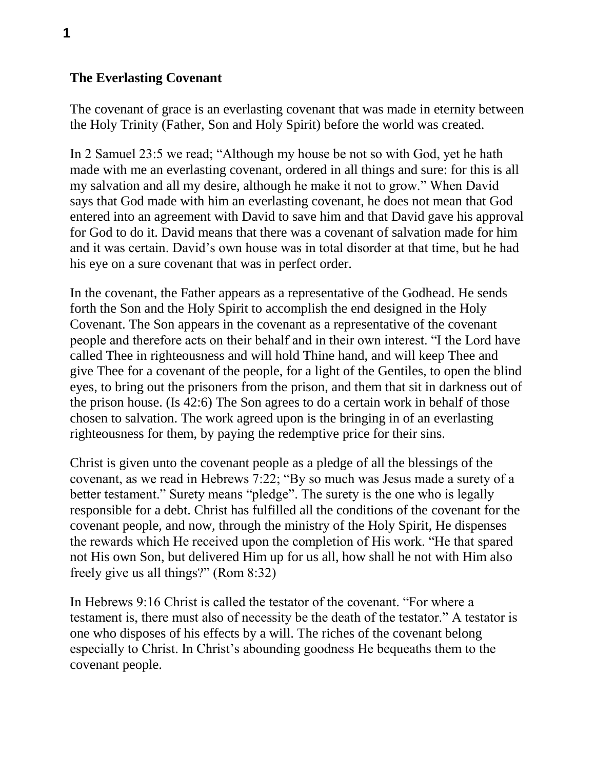## **The Everlasting Covenant**

The covenant of grace is an everlasting covenant that was made in eternity between the Holy Trinity (Father, Son and Holy Spirit) before the world was created.

In 2 Samuel 23:5 we read; "Although my house be not so with God, yet he hath made with me an everlasting covenant, ordered in all things and sure: for this is all my salvation and all my desire, although he make it not to grow." When David says that God made with him an everlasting covenant, he does not mean that God entered into an agreement with David to save him and that David gave his approval for God to do it. David means that there was a covenant of salvation made for him and it was certain. David's own house was in total disorder at that time, but he had his eye on a sure covenant that was in perfect order.

In the covenant, the Father appears as a representative of the Godhead. He sends forth the Son and the Holy Spirit to accomplish the end designed in the Holy Covenant. The Son appears in the covenant as a representative of the covenant people and therefore acts on their behalf and in their own interest. "I the Lord have called Thee in righteousness and will hold Thine hand, and will keep Thee and give Thee for a covenant of the people, for a light of the Gentiles, to open the blind eyes, to bring out the prisoners from the prison, and them that sit in darkness out of the prison house. (Is 42:6) The Son agrees to do a certain work in behalf of those chosen to salvation. The work agreed upon is the bringing in of an everlasting righteousness for them, by paying the redemptive price for their sins.

Christ is given unto the covenant people as a pledge of all the blessings of the covenant, as we read in Hebrews 7:22; "By so much was Jesus made a surety of a better testament." Surety means "pledge". The surety is the one who is legally responsible for a debt. Christ has fulfilled all the conditions of the covenant for the covenant people, and now, through the ministry of the Holy Spirit, He dispenses the rewards which He received upon the completion of His work. "He that spared not His own Son, but delivered Him up for us all, how shall he not with Him also freely give us all things?" (Rom 8:32)

In Hebrews 9:16 Christ is called the testator of the covenant. "For where a testament is, there must also of necessity be the death of the testator." A testator is one who disposes of his effects by a will. The riches of the covenant belong especially to Christ. In Christ's abounding goodness He bequeaths them to the covenant people.